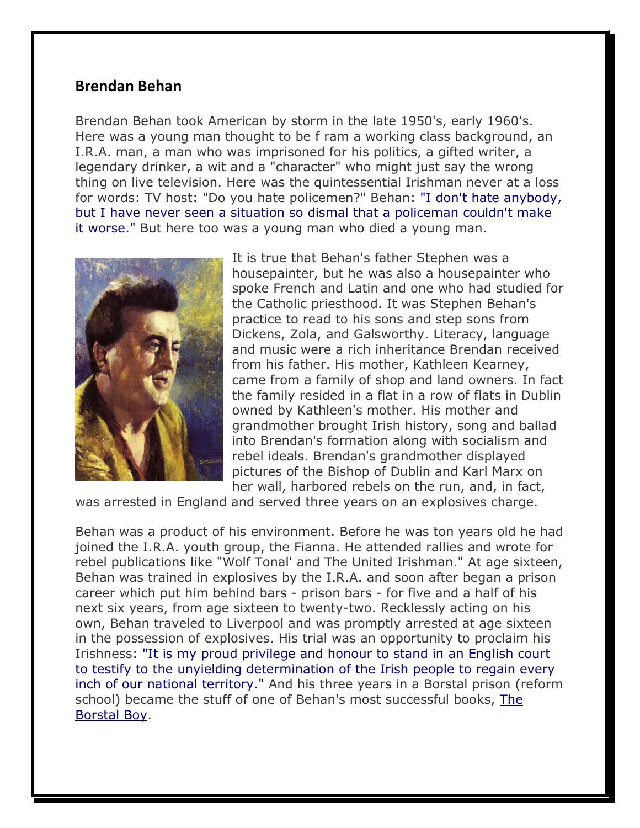## **Brendan Behan**

Brendan Behan took American by storm in the late 1950's, early 1960's. Here was a young man thought to be f ram a working class background, an I.R.A. man, a man who was imprisoned for his politics, a gifted writer, a legendary drinker, a wit and a "character" who might just say the wrong thing on live television. Here was the quintessential Irishman never at a loss for words: TV host: "Do you hate policemen?" Behan: "I don't hate anybody, but I have never seen a situation so dismal that a policeman couldn't make it worse." But here too was a young man who died a young man.



It is true that Behan's father Stephen was a housepainter, but he was also a housepainter who spoke French and Latin and one who had studied for the Catholic priesthood. It was Stephen Behan's practice to read to his sons and step sons from Dickens, Zola, and Galsworthy. Literacy, language and music were a rich inheritance Brendan received from his father. His mother, Kathleen Kearney, came from a family of shop and land owners. In fact the family resided in a flat in a row of flats in Dublin owned by Kathleen's mother. His mother and grandmother brought Irish history, song and ballad into Brendan's formation along with socialism and rebel ideals. Brendan's grandmother displayed pictures of the Bishop of Dublin and Karl Marx on her wall, harbored rebels on the run, and, in fact,

was arrested in England and served three years on an explosives charge.

Behan was a product of his environment. Before he was ton years old he had joined the I.R.A. youth group, the Fianna. He attended rallies and wrote for rebel publications like "Wolf Tonal' and The United Irishman." At age sixteen, Behan was trained in explosives by the I.R.A. and soon after began a prison career which put him behind bars - prison bars - for five and a half of his next six years, from age sixteen to twenty-two. Recklessly acting on his own, Behan traveled to Liverpool and was promptly arrested at age sixteen in the possession of explosives. His trial was an opportunity to proclaim his Irishness: "It is my proud privilege and honour to stand in an English court to testify to the unyielding determination of the Irish people to regain every inch of our national territory." And his three years in a Borstal prison (reform school) became the stuff of one of Behan's most successful books, The Borstal Boy.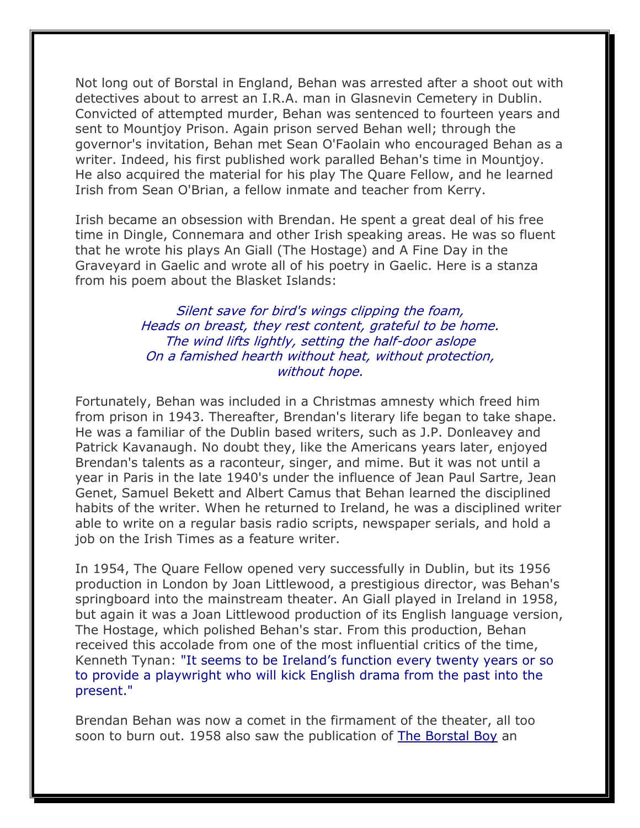Not long out of Borstal in England, Behan was arrested after a shoot out with detectives about to arrest an I.R.A. man in Glasnevin Cemetery in Dublin. Convicted of attempted murder, Behan was sentenced to fourteen years and sent to Mountjoy Prison. Again prison served Behan well; through the governor's invitation, Behan met Sean O'Faolain who encouraged Behan as a writer. Indeed, his first published work paralled Behan's time in Mountjoy. He also acquired the material for his play The Quare Fellow, and he learned Irish from Sean O'Brian, a fellow inmate and teacher from Kerry.

Irish became an obsession with Brendan. He spent a great deal of his free time in Dingle, Connemara and other Irish speaking areas. He was so fluent that he wrote his plays An Giall (The Hostage) and A Fine Day in the Graveyard in Gaelic and wrote all of his poetry in Gaelic. Here is a stanza from his poem about the Blasket Islands:

> Silent save for bird's wings clipping the foam, Heads on breast, they rest content, grateful to be home. The wind lifts lightly, setting the half-door aslope On a famished hearth without heat, without protection, without hope.

Fortunately, Behan was included in a Christmas amnesty which freed him from prison in 1943. Thereafter, Brendan's literary life began to take shape. He was a familiar of the Dublin based writers, such as J.P. Donleavey and Patrick Kavanaugh. No doubt they, like the Americans years later, enjoyed Brendan's talents as a raconteur, singer, and mime. But it was not until a year in Paris in the late 1940's under the influence of Jean Paul Sartre, Jean Genet, Samuel Bekett and Albert Camus that Behan learned the disciplined habits of the writer. When he returned to Ireland, he was a disciplined writer able to write on a regular basis radio scripts, newspaper serials, and hold a job on the Irish Times as a feature writer.

In 1954, The Quare Fellow opened very successfully in Dublin, but its 1956 production in London by Joan Littlewood, a prestigious director, was Behan's springboard into the mainstream theater. An Giall played in Ireland in 1958, but again it was a Joan Littlewood production of its English language version, The Hostage, which polished Behan's star. From this production, Behan received this accolade from one of the most influential critics of the time, Kenneth Tynan: "It seems to be Ireland's function every twenty years or so to provide a playwright who will kick English drama from the past into the present."

Brendan Behan was now a comet in the firmament of the theater, all too soon to burn out. 1958 also saw the publication of The Borstal Boy an